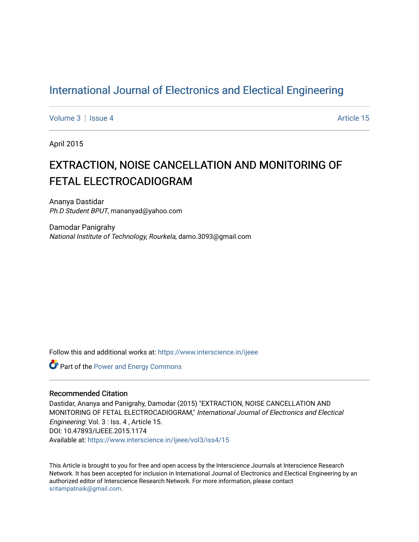## [International Journal of Electronics and Electical Engineering](https://www.interscience.in/ijeee)

[Volume 3](https://www.interscience.in/ijeee/vol3) | [Issue 4](https://www.interscience.in/ijeee/vol3/iss4) Article 15

April 2015

# EXTRACTION, NOISE CANCELLATION AND MONITORING OF FETAL ELECTROCADIOGRAM

Ananya Dastidar Ph.D Student BPUT, mananyad@yahoo.com

Damodar Panigrahy National Institute of Technology, Rourkela, damo.3093@gmail.com

Follow this and additional works at: [https://www.interscience.in/ijeee](https://www.interscience.in/ijeee?utm_source=www.interscience.in%2Fijeee%2Fvol3%2Fiss4%2F15&utm_medium=PDF&utm_campaign=PDFCoverPages)

**Part of the Power and Energy Commons** 

### Recommended Citation

Dastidar, Ananya and Panigrahy, Damodar (2015) "EXTRACTION, NOISE CANCELLATION AND MONITORING OF FETAL ELECTROCADIOGRAM," International Journal of Electronics and Electical Engineering: Vol. 3 : Iss. 4 , Article 15. DOI: 10.47893/IJEEE.2015.1174 Available at: [https://www.interscience.in/ijeee/vol3/iss4/15](https://www.interscience.in/ijeee/vol3/iss4/15?utm_source=www.interscience.in%2Fijeee%2Fvol3%2Fiss4%2F15&utm_medium=PDF&utm_campaign=PDFCoverPages)

This Article is brought to you for free and open access by the Interscience Journals at Interscience Research Network. It has been accepted for inclusion in International Journal of Electronics and Electical Engineering by an authorized editor of Interscience Research Network. For more information, please contact [sritampatnaik@gmail.com](mailto:sritampatnaik@gmail.com).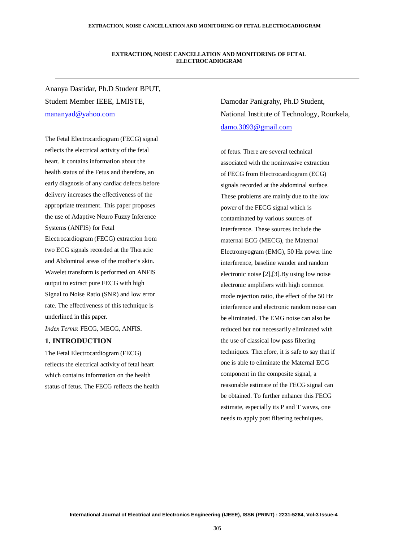#### **EXTRACTION, NOISE CANCELLATION AND MONITORING OF FETAL ELECTROCADIOGRAM**

Ananya Dastidar, Ph.D Student BPUT, Student Member IEEE, LMISTE, mananyad@yahoo.com

The Fetal Electrocardiogram (FECG) signal reflects the electrical activity of the fetal heart. It contains information about the health status of the Fetus and therefore, an early diagnosis of any cardiac defects before delivery increases the effectiveness of the appropriate treatment. This paper proposes the use of Adaptive Neuro Fuzzy Inference Systems (ANFIS) for Fetal Electrocardiogram (FECG) extraction from two ECG signals recorded at the Thoracic and Abdominal areas of the mother's skin. Wavelet transform is performed on ANFIS output to extract pure FECG with high Signal to Noise Ratio (SNR) and low error rate. The effectiveness of this technique is underlined in this paper.

*Index Terms*: FECG, MECG, ANFIS.

### **1. INTRODUCTION**

The Fetal Electrocardiogram (FECG) reflects the electrical activity of fetal heart which contains information on the health status of fetus. The FECG reflects the health Damodar Panigrahy, Ph.D Student, National Institute of Technology, Rourkela, damo.3093@gmail.com

of fetus. There are several technical associated with the noninvasive extraction of FECG from Electrocardiogram (ECG) signals recorded at the abdominal surface. These problems are mainly due to the low power of the FECG signal which is contaminated by various sources of interference. These sources include the maternal ECG (MECG), the Maternal Electromyogram (EMG), 50 Hz power line interference, baseline wander and random electronic noise [2],[3].By using low noise electronic amplifiers with high common mode rejection ratio, the effect of the 50 Hz interference and electronic random noise can be eliminated. The EMG noise can also be reduced but not necessarily eliminated with the use of classical low pass filtering techniques. Therefore, it is safe to say that if one is able to eliminate the Maternal ECG component in the composite signal, a reasonable estimate of the FECG signal can be obtained. To further enhance this FECG estimate, especially its P and T waves, one needs to apply post filtering techniques.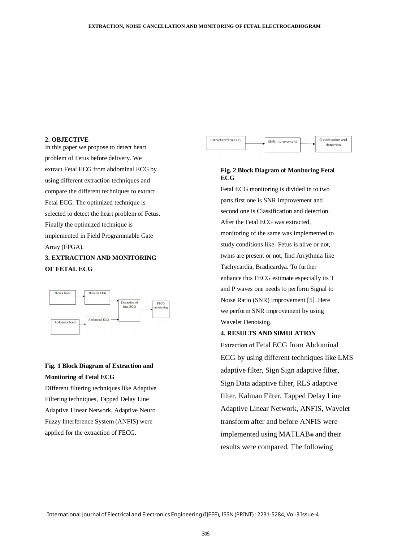#### **2. OBJECTIVE**

In this paper we propose to detect heart problem of Fetus before delivery. We extract Fetal ECG from abdominal ECG by using different extraction techniques and compare the different techniques to extract Fetal ECG. The optimized technique is selected to detect the heart problem of Fetus. Finally the optimized technique is implemented in Field Programmable Gate Array (FPGA).

### **3. EXTRACTION AND MONITORING OF FETAL ECG**



## **Fig. 1 Block Diagram of Extraction and Monitoring of Fetal ECG**

Different filtering techniques like Adaptive Filtering techniques, Tapped Delay Line Adaptive Linear Network, Adaptive Neuro Fuzzy Interference System (ANFIS) were applied for the extraction of FECG.



### **Fig. 2 Block Diagram of Monitoring Fetal ECG**

Fetal ECG monitoring is divided in to two parts first one is SNR improvement and second one is Classification and detection. After the Fetal ECG was extracted, monitoring of the same was implemented to study conditions like- Fetus is alive or not, twins are present or not, find Arrythmia like Tachycardia, Bradicardya. To further enhance this FECG estimate especially its T and P waves one needs to perform Signal to Noise Ratio (SNR) improvement [5] .Here we perform SNR improvement by using Wavelet Denoising.

#### **4. RESULTS AND SIMULATION**

Extraction of Fetal ECG from Abdominal ECG by using different techniques like LMS adaptive filter, Sign Sign adaptive filter, Sign Data adaptive filter, RLS adaptive filter, Kalman Filter, Tapped Delay Line Adaptive Linear Network, ANFIS, Wavelet transform after and before ANFIS were implemented using MATLAB® and their results were compared. The following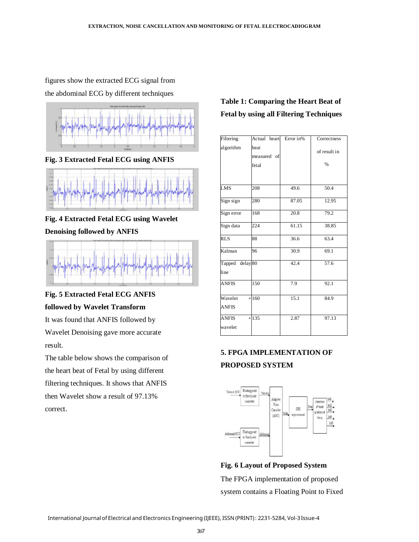figures show the extracted ECG signal from

the abdominal ECG by different techniques



**Fig. 3 Extracted Fetal ECG using ANFIS** 



**Fig. 4 Extracted Fetal ECG using Wavelet** 

**Denoising followed by ANFIS** 



## **Fig. 5 Extracted Fetal ECG ANFIS followed by Wavelet Transform**

It was found that ANFIS followed by Wavelet Denoising gave more accurate result.

The table below shows the comparison of the heart beat of Fetal by using different filtering techniques. It shows that ANFIS then Wavelet show a result of 97.13% correct.

## **Table 1: Comparing the Heart Beat of Fetal by using all Filtering Techniques**

| Filtering               | Actual heart                 | Error in% | Correctness          |
|-------------------------|------------------------------|-----------|----------------------|
| algorithm               | beat<br>measured of<br>fetal |           | of result in<br>$\%$ |
| <b>LMS</b>              | 208                          | 49.6      | 50.4                 |
| Sign sign               | 280                          | 87.05     | 12.95                |
| Sign error              | 168                          | 20.8      | 79.2                 |
| Sign data               | 224                          | 61.15     | 38.85                |
| <b>RLS</b>              | 88                           | 36.6      | 63.4                 |
| Kalman                  | 96                           | 30.9      | 69.1                 |
| Tapped delay 80<br>line |                              | 42.4      | 57.6                 |
| <b>ANFIS</b>            | 150                          | 7.9       | 92.1                 |
| Wavelet<br><b>ANFIS</b> | $+160$                       | 15.1      | 84.9                 |
| <b>ANFIS</b><br>wavelet | $+135$                       | 2.87      | 97.13                |

## **5. FPGA IMPLEMENTATION OF PROPOSED SYSTEM**



**Fig. 6 Layout of Proposed System**  The FPGA implementation of proposed system contains a Floating Point to Fixed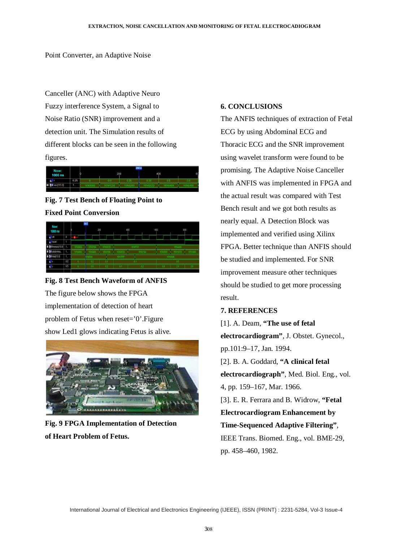Point Converter, an Adaptive Noise

Canceller (ANC) with Adaptive Neuro Fuzzy interference System, a Signal to Noise Ratio (SNR) improvement and a detection unit. The Simulation results of different blocks can be seen in the following figures.



## **Fig. 7 Test Bench of Floating Point to Fixed Point Conversion**



## **Fig. 8 Test Bench Waveform of ANFIS** The figure below shows the FPGA implementation of detection of heart problem of Fetus when reset='0'.Figure show Led1 glows indicating Fetus is alive.



**Fig. 9 FPGA Implementation of Detection of Heart Problem of Fetus.**

### **6. CONCLUSIONS**

The ANFIS techniques of extraction of Fetal ECG by using Abdominal ECG and Thoracic ECG and the SNR improvement using wavelet transform were found to be promising. The Adaptive Noise Canceller with ANFIS was implemented in FPGA and the actual result was compared with Test Bench result and we got both results as nearly equal. A Detection Block was implemented and verified using Xilinx FPGA. Better technique than ANFIS should be studied and implemented. For SNR improvement measure other techniques should be studied to get more processing result.

### **7. REFERENCES**

[1]. A. Deam, **"The use of fetal electrocardiogram"**, J. Obstet. Gynecol., pp.101:9–17, Jan. 1994. [2]. B. A. Goddard, **"A clinical fetal electrocardiograph"**, Med. Biol. Eng., vol. 4, pp. 159–167, Mar. 1966. [3]. E. R. Ferrara and B. Widrow, **"Fetal Electrocardiogram Enhancement by Time-Sequenced Adaptive Filtering"**, IEEE Trans. Biomed. Eng., vol. BME-29, pp. 458–460, 1982.